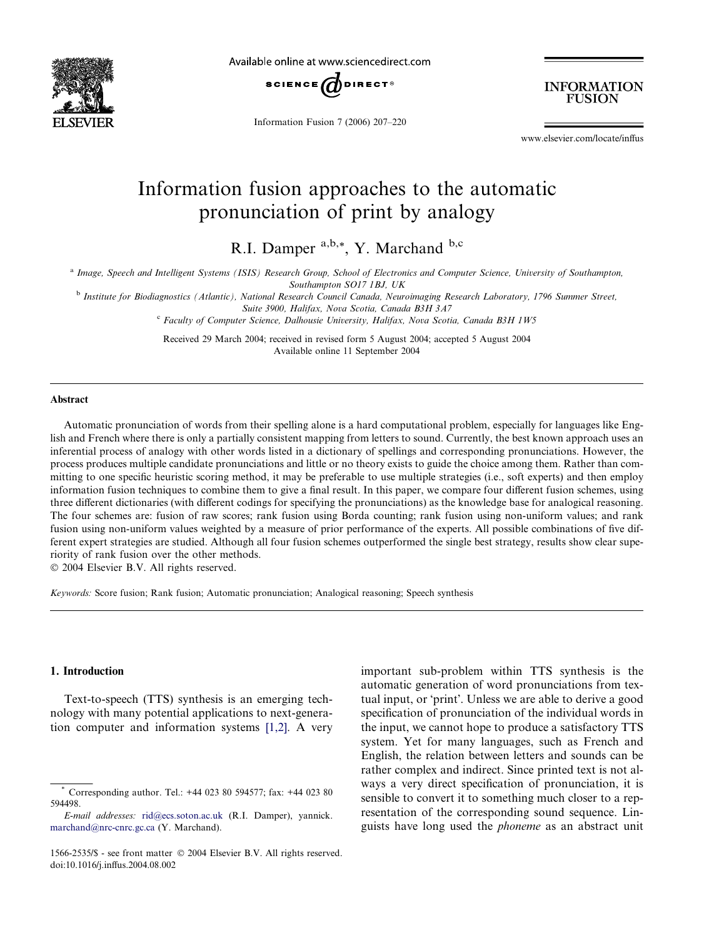

Available online at www.sciencedirect.com



Information Fusion 7 (2006) 207–220

**INFORMATION FUSION** 

www.elsevier.com/locate/inffus

# Information fusion approaches to the automatic pronunciation of print by analogy

R.I. Damper a,b,\*, Y. Marchand b,c

a Image, Speech and Intelligent Systems (ISIS) Research Group, School of Electronics and Computer Science, University of Southampton,

Southampton SO17 1BJ, UK

<sup>b</sup> Institute for Biodiagnostics (Atlantic), National Research Council Canada, Neuroimaging Research Laboratory, 1796 Summer Street, Suite 3900, Halifax, Nova Scotia, Canada B3H 3A7

<sup>c</sup> Faculty of Computer Science, Dalhousie University, Halifax, Nova Scotia, Canada B3H 1W5

Received 29 March 2004; received in revised form 5 August 2004; accepted 5 August 2004 Available online 11 September 2004

#### Abstract

Automatic pronunciation of words from their spelling alone is a hard computational problem, especially for languages like English and French where there is only a partially consistent mapping from letters to sound. Currently, the best known approach uses an inferential process of analogy with other words listed in a dictionary of spellings and corresponding pronunciations. However, the process produces multiple candidate pronunciations and little or no theory exists to guide the choice among them. Rather than committing to one specific heuristic scoring method, it may be preferable to use multiple strategies (i.e., soft experts) and then employ information fusion techniques to combine them to give a final result. In this paper, we compare four different fusion schemes, using three different dictionaries (with different codings for specifying the pronunciations) as the knowledge base for analogical reasoning. The four schemes are: fusion of raw scores; rank fusion using Borda counting; rank fusion using non-uniform values; and rank fusion using non-uniform values weighted by a measure of prior performance of the experts. All possible combinations of five different expert strategies are studied. Although all four fusion schemes outperformed the single best strategy, results show clear superiority of rank fusion over the other methods.

© 2004 Elsevier B.V. All rights reserved.

Keywords: Score fusion; Rank fusion; Automatic pronunciation; Analogical reasoning; Speech synthesis

# 1. Introduction

Text-to-speech (TTS) synthesis is an emerging technology with many potential applications to next-generation computer and information systems [\[1,2\].](#page-12-0) A very important sub-problem within TTS synthesis is the automatic generation of word pronunciations from textual input, or 'print'. Unless we are able to derive a good specification of pronunciation of the individual words in the input, we cannot hope to produce a satisfactory TTS system. Yet for many languages, such as French and English, the relation between letters and sounds can be rather complex and indirect. Since printed text is not always a very direct specification of pronunciation, it is sensible to convert it to something much closer to a representation of the corresponding sound sequence. Linguists have long used the phoneme as an abstract unit

Corresponding author. Tel.: +44 023 80 594577; fax: +44 023 80 594498.

E-mail addresses: [rid@ecs.soton.ac.uk](mailto:rid@ecs.soton.ac.uk ) (R.I. Damper), yannick. [marchand@nrc-cnrc.gc.ca](mailto:marchand@nrc-cnrc.gc.ca ) (Y. Marchand).

<sup>1566-2535/\$ -</sup> see front matter © 2004 Elsevier B.V. All rights reserved. doi:10.1016/j.inffus.2004.08.002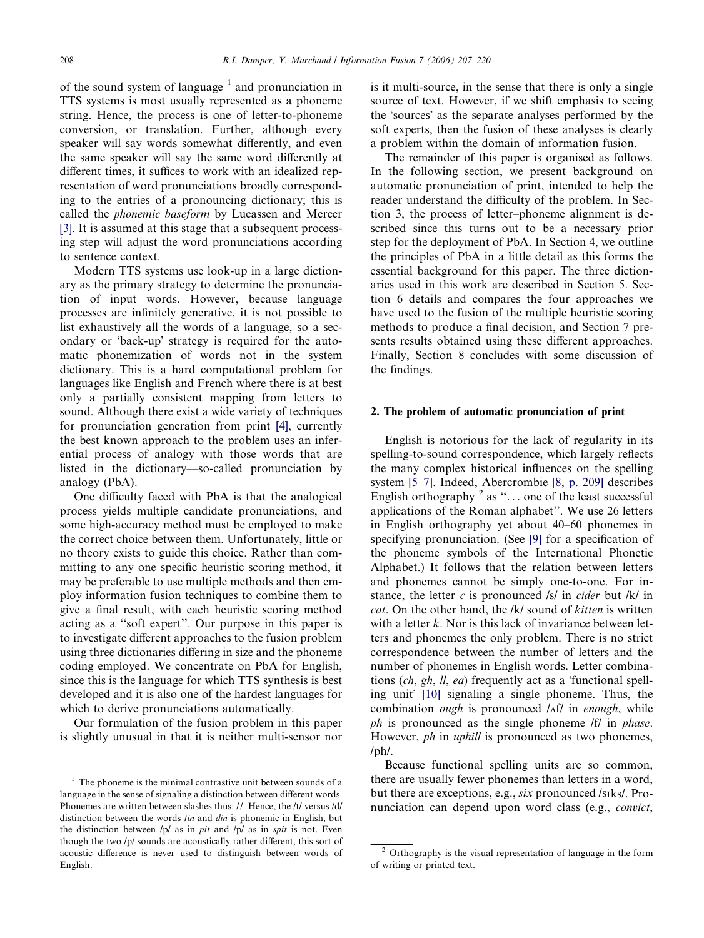of the sound system of language  $<sup>1</sup>$  and pronunciation in</sup> TTS systems is most usually represented as a phoneme string. Hence, the process is one of letter-to-phoneme conversion, or translation. Further, although every speaker will say words somewhat differently, and even the same speaker will say the same word differently at different times, it suffices to work with an idealized representation of word pronunciations broadly corresponding to the entries of a pronouncing dictionary; this is called the phonemic baseform by Lucassen and Mercer [\[3\]](#page-12-0). It is assumed at this stage that a subsequent processing step will adjust the word pronunciations according to sentence context.

Modern TTS systems use look-up in a large dictionary as the primary strategy to determine the pronunciation of input words. However, because language processes are infinitely generative, it is not possible to list exhaustively all the words of a language, so a secondary or 'back-up' strategy is required for the automatic phonemization of words not in the system dictionary. This is a hard computational problem for languages like English and French where there is at best only a partially consistent mapping from letters to sound. Although there exist a wide variety of techniques for pronunciation generation from print [\[4\]](#page-12-0), currently the best known approach to the problem uses an inferential process of analogy with those words that are listed in the dictionary—so-called pronunciation by analogy (PbA).

One difficulty faced with PbA is that the analogical process yields multiple candidate pronunciations, and some high-accuracy method must be employed to make the correct choice between them. Unfortunately, little or no theory exists to guide this choice. Rather than committing to any one specific heuristic scoring method, it may be preferable to use multiple methods and then employ information fusion techniques to combine them to give a final result, with each heuristic scoring method acting as a ''soft expert''. Our purpose in this paper is to investigate different approaches to the fusion problem using three dictionaries differing in size and the phoneme coding employed. We concentrate on PbA for English, since this is the language for which TTS synthesis is best developed and it is also one of the hardest languages for which to derive pronunciations automatically.

Our formulation of the fusion problem in this paper is slightly unusual in that it is neither multi-sensor nor is it multi-source, in the sense that there is only a single source of text. However, if we shift emphasis to seeing the 'sources' as the separate analyses performed by the soft experts, then the fusion of these analyses is clearly a problem within the domain of information fusion.

The remainder of this paper is organised as follows. In the following section, we present background on automatic pronunciation of print, intended to help the reader understand the difficulty of the problem. In Section 3, the process of letter–phoneme alignment is described since this turns out to be a necessary prior step for the deployment of PbA. In Section 4, we outline the principles of PbA in a little detail as this forms the essential background for this paper. The three dictionaries used in this work are described in Section 5. Section 6 details and compares the four approaches we have used to the fusion of the multiple heuristic scoring methods to produce a final decision, and Section 7 presents results obtained using these different approaches. Finally, Section 8 concludes with some discussion of the findings.

#### 2. The problem of automatic pronunciation of print

English is notorious for the lack of regularity in its spelling-to-sound correspondence, which largely reflects the many complex historical influences on the spelling system [\[5–7\]](#page-12-0). Indeed, Abercrombie [\[8, p. 209\]](#page-12-0) describes English orthography  $^2$  as "... one of the least successful applications of the Roman alphabet''. We use 26 letters in English orthography yet about 40–60 phonemes in specifying pronunciation. (See [\[9\]](#page-12-0) for a specification of the phoneme symbols of the International Phonetic Alphabet.) It follows that the relation between letters and phonemes cannot be simply one-to-one. For instance, the letter c is pronounced /s/ in cider but /k/ in cat. On the other hand, the /k/ sound of kitten is written with a letter  $k$ . Nor is this lack of invariance between letters and phonemes the only problem. There is no strict correspondence between the number of letters and the number of phonemes in English words. Letter combinations  $(ch, gh, ll, ea)$  frequently act as a 'functional spell-ing unit [\[10\]](#page-12-0) signaling a single phoneme. Thus, the combination *ough* is pronounced  $\Lambda$ f/ in *enough*, while ph is pronounced as the single phoneme /f/ in *phase*. However, *ph* in *uphill* is pronounced as two phonemes, /ph/.

Because functional spelling units are so common, there are usually fewer phonemes than letters in a word, but there are exceptions, e.g., six pronounced /sIks/. Pronunciation can depend upon word class (e.g., convict,

The phoneme is the minimal contrastive unit between sounds of a language in the sense of signaling a distinction between different words. Phonemes are written between slashes thus: //. Hence, the /t/ versus /d/ distinction between the words tin and din is phonemic in English, but the distinction between  $/p/$  as in pit and  $/p/$  as in spit is not. Even though the two /p/ sounds are acoustically rather different, this sort of acoustic difference is never used to distinguish between words of English.

<sup>2</sup> Orthography is the visual representation of language in the form of writing or printed text.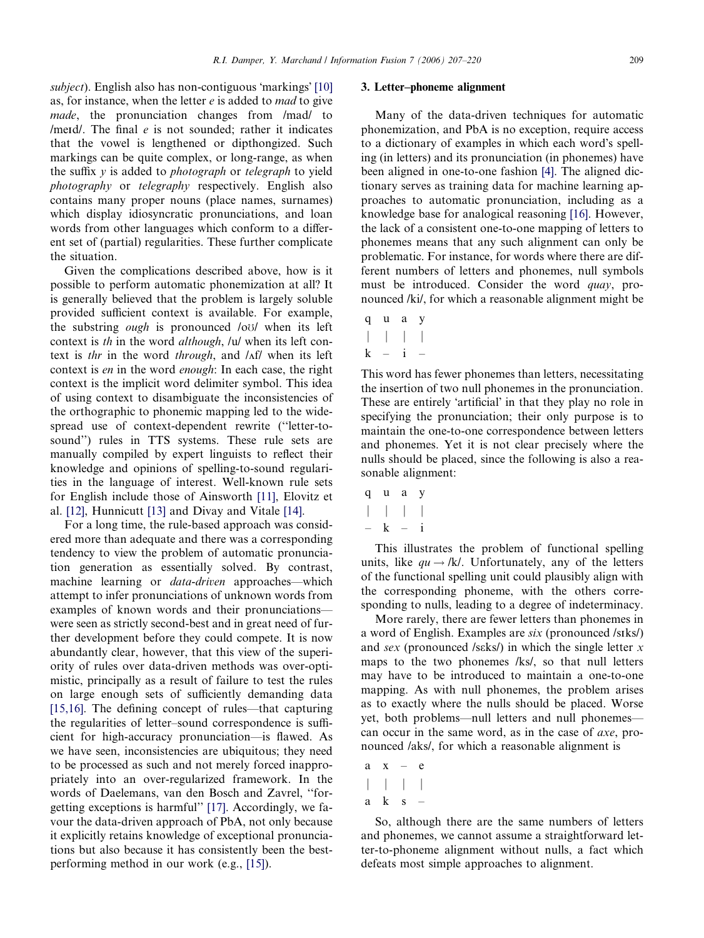subject). English also has non-contiguous 'markings' [\[10\]](#page-12-0) as, for instance, when the letter  $e$  is added to *mad* to give made, the pronunciation changes from /mad/ to /merd/. The final  $e$  is not sounded; rather it indicates that the vowel is lengthened or dipthongized. Such markings can be quite complex, or long-range, as when the suffix  $y$  is added to *photograph* or *telegraph* to yield photography or telegraphy respectively. English also contains many proper nouns (place names, surnames) which display idiosyncratic pronunciations, and loan words from other languages which conform to a different set of (partial) regularities. These further complicate the situation.

Given the complications described above, how is it possible to perform automatic phonemization at all? It is generally believed that the problem is largely soluble provided sufficient context is available. For example, the substring *ough* is pronounced /oo/ when its left context is th in the word although, /u/ when its left context is thr in the word through, and  $\Lambda f$  when its left context is en in the word enough: In each case, the right context is the implicit word delimiter symbol. This idea of using context to disambiguate the inconsistencies of the orthographic to phonemic mapping led to the widespread use of context-dependent rewrite (''letter-tosound'') rules in TTS systems. These rule sets are manually compiled by expert linguists to reflect their knowledge and opinions of spelling-to-sound regularities in the language of interest. Well-known rule sets for English include those of Ainsworth [\[11\]](#page-12-0), Elovitz et al. [\[12\],](#page-12-0) Hunnicutt [\[13\]](#page-12-0) and Divay and Vitale [\[14\].](#page-12-0)

For a long time, the rule-based approach was considered more than adequate and there was a corresponding tendency to view the problem of automatic pronunciation generation as essentially solved. By contrast, machine learning or *data-driven* approaches—which attempt to infer pronunciations of unknown words from examples of known words and their pronunciations were seen as strictly second-best and in great need of further development before they could compete. It is now abundantly clear, however, that this view of the superiority of rules over data-driven methods was over-optimistic, principally as a result of failure to test the rules on large enough sets of sufficiently demanding data [\[15,16\].](#page-12-0) The defining concept of rules—that capturing the regularities of letter–sound correspondence is sufficient for high-accuracy pronunciation—is flawed. As we have seen, inconsistencies are ubiquitous; they need to be processed as such and not merely forced inappropriately into an over-regularized framework. In the words of Daelemans, van den Bosch and Zavrel, ''forgetting exceptions is harmful'' [\[17\].](#page-12-0) Accordingly, we favour the data-driven approach of PbA, not only because it explicitly retains knowledge of exceptional pronunciations but also because it has consistently been the bestperforming method in our work (e.g., [\[15\]](#page-12-0)).

#### 3. Letter–phoneme alignment

Many of the data-driven techniques for automatic phonemization, and PbA is no exception, require access to a dictionary of examples in which each word's spelling (in letters) and its pronunciation (in phonemes) have been aligned in one-to-one fashion [\[4\].](#page-12-0) The aligned dictionary serves as training data for machine learning approaches to automatic pronunciation, including as a knowledge base for analogical reasoning [\[16\].](#page-12-0) However, the lack of a consistent one-to-one mapping of letters to phonemes means that any such alignment can only be problematic. For instance, for words where there are different numbers of letters and phonemes, null symbols must be introduced. Consider the word *quay*, pronounced /ki/, for which a reasonable alignment might be

q u a y  $j$ j je  $j$ j je  $j$  $k - i -$ 

This word has fewer phonemes than letters, necessitating the insertion of two null phonemes in the pronunciation. These are entirely 'artificial' in that they play no role in specifying the pronunciation; their only purpose is to maintain the one-to-one correspondence between letters and phonemes. Yet it is not clear precisely where the nulls should be placed, since the following is also a reasonable alignment:

quay  $j$ j je  $j$ j je  $j$ – k – i

This illustrates the problem of functional spelling units, like  $qu \rightarrow /k/$ . Unfortunately, any of the letters of the functional spelling unit could plausibly align with the corresponding phoneme, with the others corresponding to nulls, leading to a degree of indeterminacy.

More rarely, there are fewer letters than phonemes in a word of English. Examples are six (pronounced /sIks/) and sex (pronounced /sɛks/) in which the single letter  $x$ maps to the two phonemes /ks/, so that null letters may have to be introduced to maintain a one-to-one mapping. As with null phonemes, the problem arises as to exactly where the nulls should be placed. Worse yet, both problems—null letters and null phonemes can occur in the same word, as in the case of axe, pronounced /aks/, for which a reasonable alignment is

- $a \times -e$  $j$ j je  $j$ j je  $j$
- aks –

So, although there are the same numbers of letters and phonemes, we cannot assume a straightforward letter-to-phoneme alignment without nulls, a fact which defeats most simple approaches to alignment.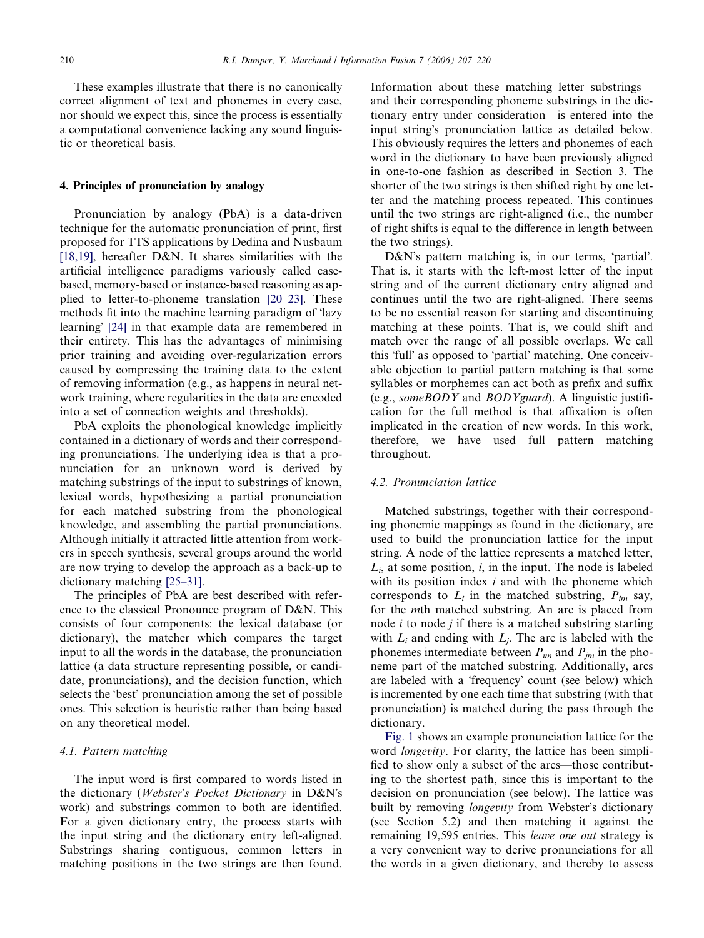These examples illustrate that there is no canonically correct alignment of text and phonemes in every case, nor should we expect this, since the process is essentially a computational convenience lacking any sound linguistic or theoretical basis.

# 4. Principles of pronunciation by analogy

Pronunciation by analogy (PbA) is a data-driven technique for the automatic pronunciation of print, first proposed for TTS applications by Dedina and Nusbaum [\[18,19\],](#page-12-0) hereafter  $D&N$ . It shares similarities with the artificial intelligence paradigms variously called casebased, memory-based or instance-based reasoning as applied to letter-to-phoneme translation [\[20–23\]](#page-12-0). These methods fit into the machine learning paradigm of 'lazy learning [\[24\]](#page-12-0) in that example data are remembered in their entirety. This has the advantages of minimising prior training and avoiding over-regularization errors caused by compressing the training data to the extent of removing information (e.g., as happens in neural network training, where regularities in the data are encoded into a set of connection weights and thresholds).

PbA exploits the phonological knowledge implicitly contained in a dictionary of words and their corresponding pronunciations. The underlying idea is that a pronunciation for an unknown word is derived by matching substrings of the input to substrings of known, lexical words, hypothesizing a partial pronunciation for each matched substring from the phonological knowledge, and assembling the partial pronunciations. Although initially it attracted little attention from workers in speech synthesis, several groups around the world are now trying to develop the approach as a back-up to dictionary matching [\[25–31\].](#page-12-0)

The principles of PbA are best described with reference to the classical Pronounce program of D&N. This consists of four components: the lexical database (or dictionary), the matcher which compares the target input to all the words in the database, the pronunciation lattice (a data structure representing possible, or candidate, pronunciations), and the decision function, which selects the 'best' pronunciation among the set of possible ones. This selection is heuristic rather than being based on any theoretical model.

# 4.1. Pattern matching

The input word is first compared to words listed in the dictionary (*Webster's Pocket Dictionary* in  $D\&N$ 's work) and substrings common to both are identified. For a given dictionary entry, the process starts with the input string and the dictionary entry left-aligned. Substrings sharing contiguous, common letters in matching positions in the two strings are then found.

Information about these matching letter substrings and their corresponding phoneme substrings in the dictionary entry under consideration—is entered into the input string's pronunciation lattice as detailed below. This obviously requires the letters and phonemes of each word in the dictionary to have been previously aligned in one-to-one fashion as described in Section 3. The shorter of the two strings is then shifted right by one letter and the matching process repeated. This continues until the two strings are right-aligned (i.e., the number of right shifts is equal to the difference in length between the two strings).

D&N's pattern matching is, in our terms, 'partial'. That is, it starts with the left-most letter of the input string and of the current dictionary entry aligned and continues until the two are right-aligned. There seems to be no essential reason for starting and discontinuing matching at these points. That is, we could shift and match over the range of all possible overlaps. We call this 'full' as opposed to 'partial' matching. One conceivable objection to partial pattern matching is that some syllables or morphemes can act both as prefix and suffix (e.g., someBODY and BODYguard). A linguistic justification for the full method is that affixation is often implicated in the creation of new words. In this work, therefore, we have used full pattern matching throughout.

# 4.2. Pronunciation lattice

Matched substrings, together with their corresponding phonemic mappings as found in the dictionary, are used to build the pronunciation lattice for the input string. A node of the lattice represents a matched letter,  $L_i$ , at some position, i, in the input. The node is labeled with its position index  $i$  and with the phoneme which corresponds to  $L_i$  in the matched substring,  $P_{im}$  say, for the mth matched substring. An arc is placed from node  $i$  to node  $j$  if there is a matched substring starting with  $L_i$  and ending with  $L_j$ . The arc is labeled with the phonemes intermediate between  $P_{im}$  and  $P_{im}$  in the phoneme part of the matched substring. Additionally, arcs are labeled with a 'frequency' count (see below) which is incremented by one each time that substring (with that pronunciation) is matched during the pass through the dictionary.

[Fig. 1](#page-4-0) shows an example pronunciation lattice for the word longevity. For clarity, the lattice has been simplified to show only a subset of the arcs—those contributing to the shortest path, since this is important to the decision on pronunciation (see below). The lattice was built by removing *longevity* from Webster's dictionary (see Section 5.2) and then matching it against the remaining 19,595 entries. This leave one out strategy is a very convenient way to derive pronunciations for all the words in a given dictionary, and thereby to assess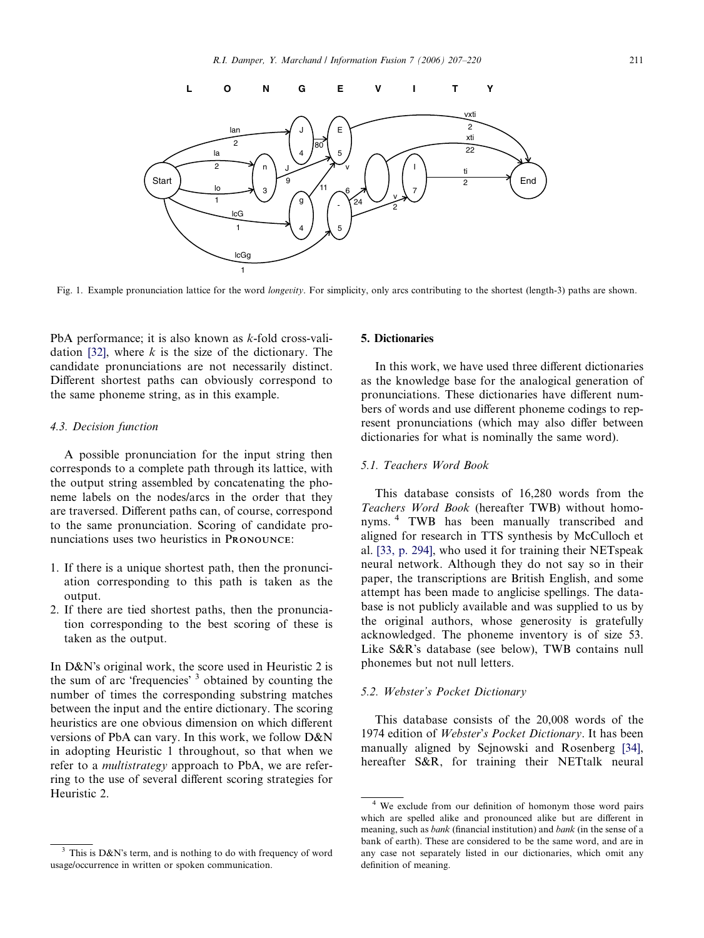<span id="page-4-0"></span>

Fig. 1. Example pronunciation lattice for the word *longevity*. For simplicity, only arcs contributing to the shortest (length-3) paths are shown.

PbA performance; it is also known as k-fold cross-vali-dation [\[32\],](#page-12-0) where  $k$  is the size of the dictionary. The candidate pronunciations are not necessarily distinct. Different shortest paths can obviously correspond to the same phoneme string, as in this example.

# 4.3. Decision function

A possible pronunciation for the input string then corresponds to a complete path through its lattice, with the output string assembled by concatenating the phoneme labels on the nodes/arcs in the order that they are traversed. Different paths can, of course, correspond to the same pronunciation. Scoring of candidate pronunciations uses two heuristics in PRONOUNCE:

- 1. If there is a unique shortest path, then the pronunciation corresponding to this path is taken as the output.
- 2. If there are tied shortest paths, then the pronunciation corresponding to the best scoring of these is taken as the output.

In D&N's original work, the score used in Heuristic 2 is the sum of arc 'frequencies' <sup>3</sup> obtained by counting the number of times the corresponding substring matches between the input and the entire dictionary. The scoring heuristics are one obvious dimension on which different versions of PbA can vary. In this work, we follow D&N in adopting Heuristic 1 throughout, so that when we refer to a multistrategy approach to PbA, we are referring to the use of several different scoring strategies for Heuristic 2.

# 5. Dictionaries

In this work, we have used three different dictionaries as the knowledge base for the analogical generation of pronunciations. These dictionaries have different numbers of words and use different phoneme codings to represent pronunciations (which may also differ between dictionaries for what is nominally the same word).

# 5.1. Teachers Word Book

This database consists of 16,280 words from the Teachers Word Book (hereafter TWB) without homonyms. <sup>4</sup> TWB has been manually transcribed and aligned for research in TTS synthesis by McCulloch et al. [\[33, p. 294\]](#page-12-0), who used it for training their NETspeak neural network. Although they do not say so in their paper, the transcriptions are British English, and some attempt has been made to anglicise spellings. The database is not publicly available and was supplied to us by the original authors, whose generosity is gratefully acknowledged. The phoneme inventory is of size 53. Like  $S\&R$ 's database (see below), TWB contains null phonemes but not null letters.

# 5.2. Webster's Pocket Dictionary

This database consists of the 20,008 words of the 1974 edition of Webster's Pocket Dictionary. It has been manually aligned by Sejnowski and Rosenberg [\[34\],](#page-12-0) hereafter S&R, for training their NETtalk neural

This is D&N's term, and is nothing to do with frequency of word usage/occurrence in written or spoken communication.

<sup>4</sup> We exclude from our definition of homonym those word pairs which are spelled alike and pronounced alike but are different in meaning, such as bank (financial institution) and bank (in the sense of a bank of earth). These are considered to be the same word, and are in any case not separately listed in our dictionaries, which omit any definition of meaning.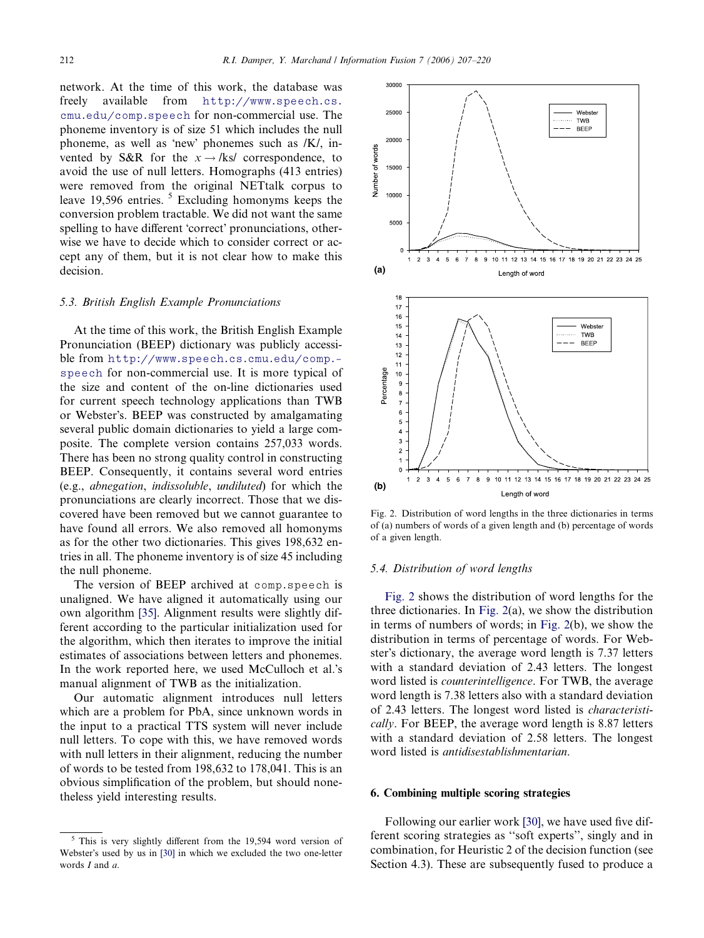network. At the time of this work, the database was freely available from [http://www.speech.cs.](http://www.speech.cs.cmu.edu/comp.speech) [cmu.edu/comp.speech](http://www.speech.cs.cmu.edu/comp.speech) for non-commercial use. The phoneme inventory is of size 51 which includes the null phoneme, as well as 'new' phonemes such as /K/, invented by S&R for the  $x \rightarrow$ /ks/ correspondence, to avoid the use of null letters. Homographs (413 entries) were removed from the original NETtalk corpus to leave 19,596 entries.<sup>5</sup> Excluding homonyms keeps the conversion problem tractable. We did not want the same spelling to have different 'correct' pronunciations, otherwise we have to decide which to consider correct or accept any of them, but it is not clear how to make this decision.

#### 5.3. British English Example Pronunciations

At the time of this work, the British English Example Pronunciation (BEEP) dictionary was publicly accessible from [http://www.speech.cs.cmu.edu/comp.](http://www.speech.cs.cmu.edu/comp.speech) [speech](http://www.speech.cs.cmu.edu/comp.speech) for non-commercial use. It is more typical of the size and content of the on-line dictionaries used for current speech technology applications than TWB or Webster's. BEEP was constructed by amalgamating several public domain dictionaries to yield a large composite. The complete version contains 257,033 words. There has been no strong quality control in constructing BEEP. Consequently, it contains several word entries (e.g., abnegation, indissoluble, undiluted) for which the pronunciations are clearly incorrect. Those that we discovered have been removed but we cannot guarantee to have found all errors. We also removed all homonyms as for the other two dictionaries. This gives 198,632 entries in all. The phoneme inventory is of size 45 including the null phoneme.

The version of BEEP archived at comp.speech is unaligned. We have aligned it automatically using our own algorithm [\[35\].](#page-13-0) Alignment results were slightly different according to the particular initialization used for the algorithm, which then iterates to improve the initial estimates of associations between letters and phonemes. In the work reported here, we used McCulloch et al.'s manual alignment of TWB as the initialization.

Our automatic alignment introduces null letters which are a problem for PbA, since unknown words in the input to a practical TTS system will never include null letters. To cope with this, we have removed words with null letters in their alignment, reducing the number of words to be tested from 198,632 to 178,041. This is an obvious simplification of the problem, but should nonetheless yield interesting results.



Fig. 2. Distribution of word lengths in the three dictionaries in terms of (a) numbers of words of a given length and (b) percentage of words of a given length.

#### 5.4. Distribution of word lengths

Fig. 2 shows the distribution of word lengths for the three dictionaries. In Fig. 2(a), we show the distribution in terms of numbers of words; in Fig. 2(b), we show the distribution in terms of percentage of words. For Webster's dictionary, the average word length is 7.37 letters with a standard deviation of 2.43 letters. The longest word listed is counterintelligence. For TWB, the average word length is 7.38 letters also with a standard deviation of 2.43 letters. The longest word listed is characteristically. For BEEP, the average word length is 8.87 letters with a standard deviation of 2.58 letters. The longest word listed is antidisestablishmentarian.

# 6. Combining multiple scoring strategies

Following our earlier work [\[30\],](#page-12-0) we have used five different scoring strategies as ''soft experts'', singly and in combination, for Heuristic 2 of the decision function (see Section 4.3). These are subsequently fused to produce a

<sup>5</sup> This is very slightly different from the 19,594 word version of Webster's used by us in [\[30\]](#page-12-0) in which we excluded the two one-letter words I and a.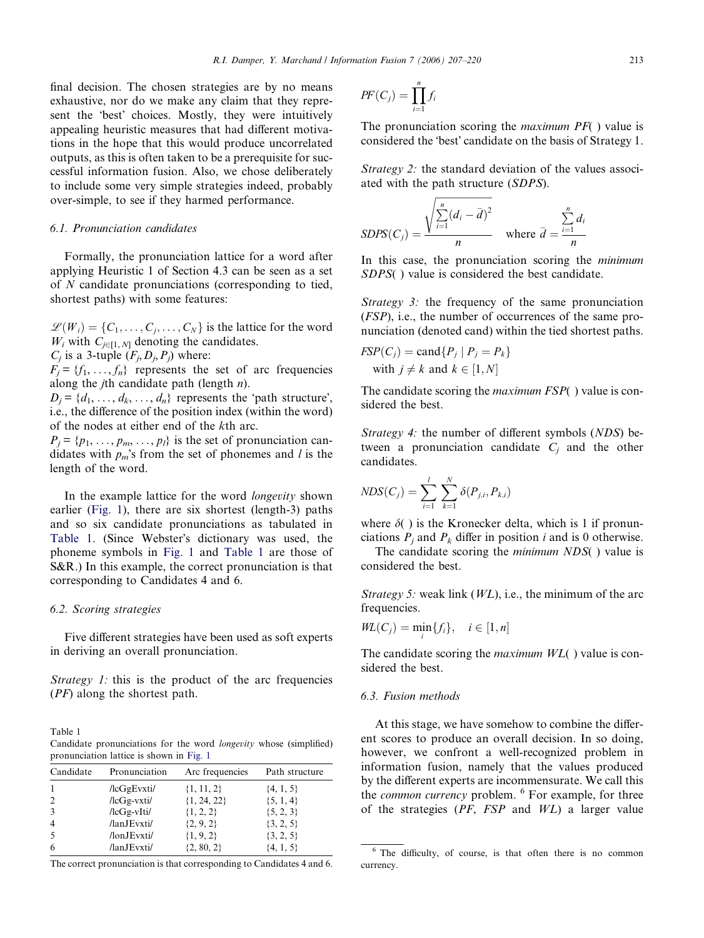final decision. The chosen strategies are by no means exhaustive, nor do we make any claim that they represent the 'best' choices. Mostly, they were intuitively appealing heuristic measures that had different motivations in the hope that this would produce uncorrelated outputs, as this is often taken to be a prerequisite for successful information fusion. Also, we chose deliberately to include some very simple strategies indeed, probably over-simple, to see if they harmed performance.

# 6.1. Pronunciation candidates

Formally, the pronunciation lattice for a word after applying Heuristic 1 of Section 4.3 can be seen as a set of N candidate pronunciations (corresponding to tied, shortest paths) with some features:

 $\mathscr{L}(W_i) = \{C_1, \ldots, C_j, \ldots, C_N\}$  is the lattice for the word  $W_i$  with  $C_{j\in[1, N]}$  denoting the candidates.

 $C_i$  is a 3-tuple  $(F_i, D_i, P_j)$  where:

 $F_j = \{f_1, \ldots, f_n\}$  represents the set of arc frequencies along the *j*th candidate path (length  $n$ ).

 $D_j = \{d_1, \ldots, d_k, \ldots, d_n\}$  represents the 'path structure', i.e., the difference of the position index (within the word) of the nodes at either end of the kth arc.

 $P_j = \{p_1, \ldots, p_m, \ldots, p_l\}$  is the set of pronunciation candidates with  $p_m$ 's from the set of phonemes and l is the length of the word.

In the example lattice for the word *longevity* shown earlier [\(Fig. 1\)](#page-4-0), there are six shortest (length-3) paths and so six candidate pronunciations as tabulated in Table 1. (Since Webster's dictionary was used, the phoneme symbols in [Fig. 1](#page-4-0) and Table 1 are those of S&R.) In this example, the correct pronunciation is that corresponding to Candidates 4 and 6.

#### 6.2. Scoring strategies

Five different strategies have been used as soft experts in deriving an overall pronunciation.

Strategy 1: this is the product of the arc frequencies (PF) along the shortest path.

Table 1 Candidate pronunciations for the word longevity whose (simplified) pronunciation lattice is shown in [Fig. 1](#page-4-0)

| Candidate      | Pronunciation     | Arc frequencies | Path structure |
|----------------|-------------------|-----------------|----------------|
| 1              | $/$ lcGgEvxti $/$ | $\{1, 11, 2\}$  | $\{4, 1, 5\}$  |
| 2              | $/lcGg-vxti/$     | $\{1, 24, 22\}$ | ${5, 1, 4}$    |
| 3              | $/lcGg-vIti/$     | $\{1, 2, 2\}$   | ${5, 2, 3}$    |
| $\overline{4}$ | /lanJEvxti/       | $\{2, 9, 2\}$   | $\{3, 2, 5\}$  |
| .5             | /lonJEvxti/       | $\{1, 9, 2\}$   | $\{3, 2, 5\}$  |
| 6              | /lanJEvxti/       | $\{2, 80, 2\}$  | $\{4, 1, 5\}$  |

The correct pronunciation is that corresponding to Candidates 4 and 6.

$$
PF(C_j) = \prod_{i=1}^n f_i
$$

The pronunciation scoring the *maximum*  $PF($  ) value is considered the 'best' candidate on the basis of Strategy 1.

Strategy 2: the standard deviation of the values associated with the path structure (SDPS).

$$
SDPS(C_j) = \frac{\sqrt{\sum_{i=1}^{n} (d_i - \bar{d})^2}}{n}
$$
 where  $\bar{d} = \frac{\sum_{i=1}^{n} d_i}{n}$ 

In this case, the pronunciation scoring the *minimum* SDPS( ) value is considered the best candidate.

Strategy 3: the frequency of the same pronunciation (FSP), i.e., the number of occurrences of the same pronunciation (denoted cand) within the tied shortest paths.

$$
FSP(C_j) = \text{cand} \{ P_j \mid P_j = P_k \}
$$
  
with  $j \neq k$  and  $k \in [1, N]$ 

The candidate scoring the *maximum FSP*() value is considered the best.

Strategy 4: the number of different symbols (NDS) between a pronunciation candidate  $C_i$  and the other candidates.

$$
NDS(C_j) = \sum_{i=1}^{l} \sum_{k=1}^{N} \delta(P_{j,i}, P_{k,i})
$$

where  $\delta$ ( ) is the Kronecker delta, which is 1 if pronunciations  $P_i$  and  $P_k$  differ in position i and is 0 otherwise.

The candidate scoring the *minimum NDS*() value is considered the best.

Strategy 5: weak link  $(WL)$ , i.e., the minimum of the arc frequencies.

$$
WL(C_j) = \min_i \{f_i\}, \quad i \in [1, n]
$$

The candidate scoring the *maximum WL*() value is considered the best.

#### 6.3. Fusion methods

At this stage, we have somehow to combine the different scores to produce an overall decision. In so doing, however, we confront a well-recognized problem in information fusion, namely that the values produced by the different experts are incommensurate. We call this the *common currency* problem. <sup>6</sup> For example, for three of the strategies  $(PF, FSP \text{ and } WL)$  a larger value

<sup>&</sup>lt;sup>6</sup> The difficulty, of course, is that often there is no common currency.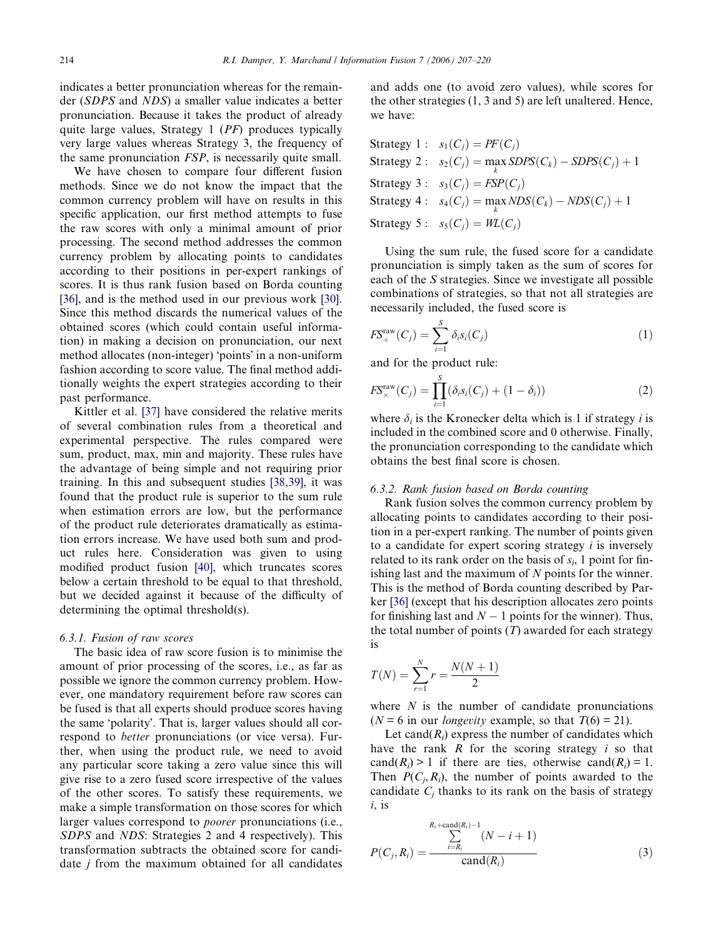indicates a better pronunciation whereas for the remainder (SDPS and NDS) a smaller value indicates a better pronunciation. Because it takes the product of already quite large values, Strategy 1 (PF) produces typically very large values whereas Strategy 3, the frequency of the same pronunciation FSP, is necessarily quite small.

We have chosen to compare four different fusion methods. Since we do not know the impact that the common currency problem will have on results in this specific application, our first method attempts to fuse the raw scores with only a minimal amount of prior processing. The second method addresses the common currency problem by allocating points to candidates according to their positions in per-expert rankings of scores. It is thus rank fusion based on Borda counting [\[36\]](#page-13-0), and is the method used in our previous work [\[30\]](#page-12-0). Since this method discards the numerical values of the obtained scores (which could contain useful information) in making a decision on pronunciation, our next method allocates (non-integer) 'points' in a non-uniform fashion according to score value. The final method additionally weights the expert strategies according to their past performance.

Kittler et al. [\[37\]](#page-13-0) have considered the relative merits of several combination rules from a theoretical and experimental perspective. The rules compared were sum, product, max, min and majority. These rules have the advantage of being simple and not requiring prior training. In this and subsequent studies [\[38,39\],](#page-13-0) it was found that the product rule is superior to the sum rule when estimation errors are low, but the performance of the product rule deteriorates dramatically as estimation errors increase. We have used both sum and product rules here. Consideration was given to using modified product fusion [\[40\]](#page-13-0), which truncates scores below a certain threshold to be equal to that threshold, but we decided against it because of the difficulty of determining the optimal threshold(s).

# 6.3.1. Fusion of raw scores

The basic idea of raw score fusion is to minimise the amount of prior processing of the scores, i.e., as far as possible we ignore the common currency problem. However, one mandatory requirement before raw scores can be fused is that all experts should produce scores having the same 'polarity'. That is, larger values should all correspond to better pronunciations (or vice versa). Further, when using the product rule, we need to avoid any particular score taking a zero value since this will give rise to a zero fused score irrespective of the values of the other scores. To satisfy these requirements, we make a simple transformation on those scores for which larger values correspond to poorer pronunciations (i.e., SDPS and NDS: Strategies 2 and 4 respectively). This transformation subtracts the obtained score for candidate  $j$  from the maximum obtained for all candidates

and adds one (to avoid zero values), while scores for the other strategies (1, 3 and 5) are left unaltered. Hence, we have:

Strategy 1: 
$$
s_1(C_j) = PF(C_j)
$$
  
\nStrategy 2:  $s_2(C_j) = \max_k SDPS(C_k) - SDPS(C_j) + 1$   
\nStrategy 3:  $s_3(C_j) = FSP(C_j)$   
\nStrategy 4:  $s_4(C_j) = \max_k NDS(C_k) - NDS(C_j) + 1$   
\nStrategy 5:  $s_5(C_j) = WL(C_j)$ 

Using the sum rule, the fused score for a candidate pronunciation is simply taken as the sum of scores for each of the S strategies. Since we investigate all possible combinations of strategies, so that not all strategies are necessarily included, the fused score is

$$
F\mathcal{S}_{+}^{\text{raw}}(C_j) = \sum_{i=1}^{S} \delta_i s_i(C_j)
$$
 (1)

and for the product rule:

$$
F\mathcal{S}_\times^{\text{raw}}(C_j) = \prod_{i=1}^S (\delta_i s_i(C_j) + (1 - \delta_i))
$$
 (2)

where  $\delta_i$  is the Kronecker delta which is 1 if strategy *i* is included in the combined score and 0 otherwise. Finally, the pronunciation corresponding to the candidate which obtains the best final score is chosen.

#### 6.3.2. Rank fusion based on Borda counting

Rank fusion solves the common currency problem by allocating points to candidates according to their position in a per-expert ranking. The number of points given to a candidate for expert scoring strategy  $i$  is inversely related to its rank order on the basis of  $s_i$ , 1 point for finishing last and the maximum of  $N$  points for the winner. This is the method of Borda counting described by Parker [\[36\]](#page-13-0) (except that his description allocates zero points for finishing last and  $N-1$  points for the winner). Thus, the total number of points  $(T)$  awarded for each strategy is

$$
T(N) = \sum_{r=1}^{N} r = \frac{N(N+1)}{2}
$$

where  $N$  is the number of candidate pronunciations  $(N = 6$  in our *longevity* example, so that  $T(6) = 21$ .

Let cand $(R<sub>i</sub>)$  express the number of candidates which have the rank  $R$  for the scoring strategy  $i$  so that cand( $R_i$ ) > 1 if there are ties, otherwise cand( $R_i$ ) = 1. Then  $P(C_i, R_i)$ , the number of points awarded to the candidate  $C_j$  thanks to its rank on the basis of strategy  $i$ , is

$$
P(C_j, R_i) = \frac{\sum_{i=R_i}^{R_i + \text{cand}(R_i)-1} (N-i+1)}{\text{cand}(R_i)}
$$
(3)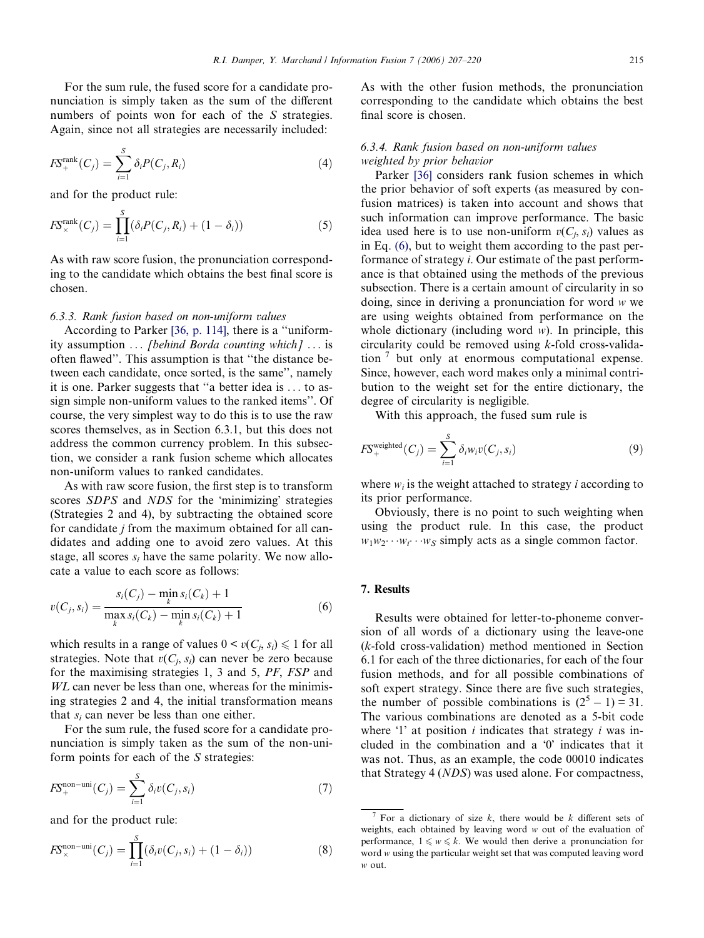<span id="page-8-0"></span>For the sum rule, the fused score for a candidate pronunciation is simply taken as the sum of the different numbers of points won for each of the S strategies. Again, since not all strategies are necessarily included:

$$
F\mathcal{S}_{+}^{\text{rank}}(C_{j}) = \sum_{i=1}^{S} \delta_{i} P(C_{j}, R_{i})
$$
\n(4)

and for the product rule:

$$
F\mathcal{S}_{\times}^{\text{rank}}(C_j) = \prod_{i=1}^{S} (\delta_i P(C_j, R_i) + (1 - \delta_i))
$$
\n(5)

As with raw score fusion, the pronunciation corresponding to the candidate which obtains the best final score is chosen.

# 6.3.3. Rank fusion based on non-uniform values

According to Parker [\[36, p. 114\],](#page-13-0) there is a ''uniformity assumption ... [behind Borda counting which] ... is often flawed''. This assumption is that ''the distance between each candidate, once sorted, is the same'', namely it is one. Parker suggests that ''a better idea is ... to assign simple non-uniform values to the ranked items''. Of course, the very simplest way to do this is to use the raw scores themselves, as in Section 6.3.1, but this does not address the common currency problem. In this subsection, we consider a rank fusion scheme which allocates non-uniform values to ranked candidates.

As with raw score fusion, the first step is to transform scores SDPS and NDS for the 'minimizing' strategies (Strategies 2 and 4), by subtracting the obtained score for candidate j from the maximum obtained for all candidates and adding one to avoid zero values. At this stage, all scores  $s_i$  have the same polarity. We now allocate a value to each score as follows:

$$
v(C_j, s_i) = \frac{s_i(C_j) - \min_k s_i(C_k) + 1}{\max_k s_i(C_k) - \min_k s_i(C_k) + 1}
$$
(6)

which results in a range of values  $0 \le v(C_i, s_i) \le 1$  for all strategies. Note that  $v(C_i, s_i)$  can never be zero because for the maximising strategies 1, 3 and 5, PF, FSP and WL can never be less than one, whereas for the minimising strategies 2 and 4, the initial transformation means that  $s_i$  can never be less than one either.

For the sum rule, the fused score for a candidate pronunciation is simply taken as the sum of the non-uniform points for each of the S strategies:

$$
F\mathcal{S}_{+}^{\text{non-uni}}(C_{j}) = \sum_{i=1}^{S} \delta_{i} v(C_{j}, s_{i}) \tag{7}
$$

and for the product rule:

$$
F_{\times}^{\text{non-uni}}(C_j) = \prod_{i=1}^{S} (\delta_i v(C_j, s_i) + (1 - \delta_i))
$$
 (8)

As with the other fusion methods, the pronunciation corresponding to the candidate which obtains the best final score is chosen.

# 6.3.4. Rank fusion based on non-uniform values weighted by prior behavior

Parker [\[36\]](#page-13-0) considers rank fusion schemes in which the prior behavior of soft experts (as measured by confusion matrices) is taken into account and shows that such information can improve performance. The basic idea used here is to use non-uniform  $v(C_i, s_i)$  values as in Eq. (6), but to weight them according to the past performance of strategy i. Our estimate of the past performance is that obtained using the methods of the previous subsection. There is a certain amount of circularity in so doing, since in deriving a pronunciation for word w we are using weights obtained from performance on the whole dictionary (including word  $w$ ). In principle, this circularity could be removed using k-fold cross-validation  $\frac{7}{7}$  but only at enormous computational expense. Since, however, each word makes only a minimal contribution to the weight set for the entire dictionary, the degree of circularity is negligible.

With this approach, the fused sum rule is

$$
FS_{+}^{\text{weighted}}(C_j) = \sum_{i=1}^{S} \delta_i w_i v(C_j, s_i)
$$
 (9)

where  $w_i$  is the weight attached to strategy *i* according to its prior performance.

Obviously, there is no point to such weighting when using the product rule. In this case, the product  $w_1w_2\cdots w_i\cdots w_S$  simply acts as a single common factor.

#### 7. Results

Results were obtained for letter-to-phoneme conversion of all words of a dictionary using the leave-one (k-fold cross-validation) method mentioned in Section 6.1 for each of the three dictionaries, for each of the four fusion methods, and for all possible combinations of soft expert strategy. Since there are five such strategies, the number of possible combinations is  $(2^5 – 1) = 31$ . The various combinations are denoted as a 5-bit code where  $\mathbf{1}'$  at position *i* indicates that strategy *i* was included in the combination and a  $\theta$  indicates that it was not. Thus, as an example, the code 00010 indicates that Strategy 4 (NDS) was used alone. For compactness,

<sup>&</sup>lt;sup>7</sup> For a dictionary of size  $k$ , there would be  $k$  different sets of weights, each obtained by leaving word w out of the evaluation of performance,  $1 \leq w \leq k$ . We would then derive a pronunciation for word w using the particular weight set that was computed leaving word w out.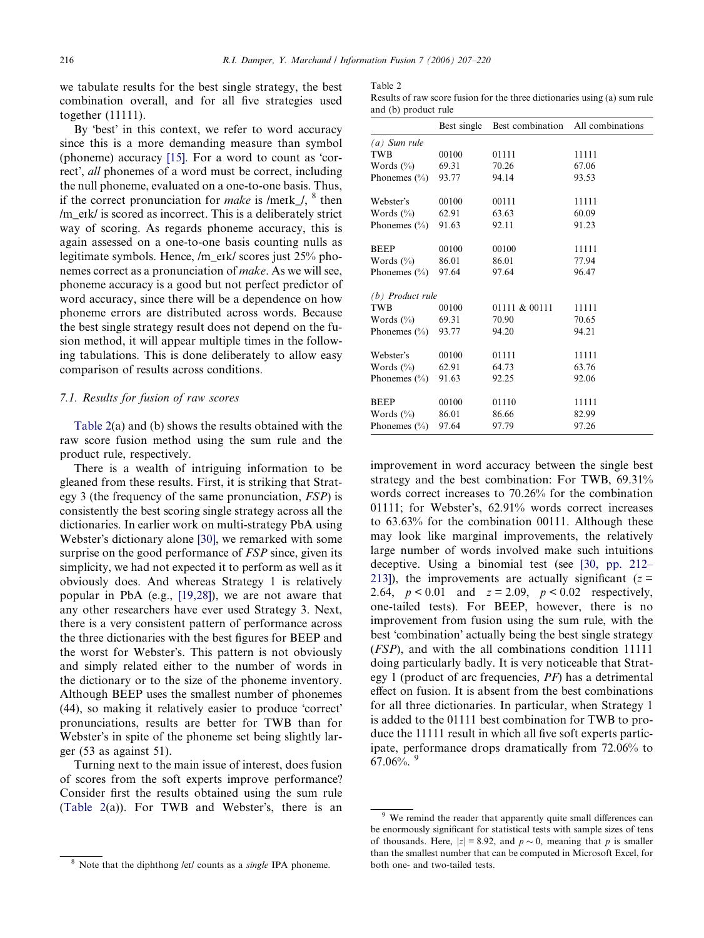<span id="page-9-0"></span>we tabulate results for the best single strategy, the best combination overall, and for all five strategies used together (11111).

By 'best' in this context, we refer to word accuracy since this is a more demanding measure than symbol (phoneme) accuracy  $[15]$ . For a word to count as 'correct, *all* phonemes of a word must be correct, including the null phoneme, evaluated on a one-to-one basis. Thus, if the correct pronunciation for *make* is /meIk\_/,  $\delta$  then /m\_eIk/ is scored as incorrect. This is a deliberately strict way of scoring. As regards phoneme accuracy, this is again assessed on a one-to-one basis counting nulls as legitimate symbols. Hence, /m\_eIk/ scores just 25% phonemes correct as a pronunciation of make. As we will see, phoneme accuracy is a good but not perfect predictor of word accuracy, since there will be a dependence on how phoneme errors are distributed across words. Because the best single strategy result does not depend on the fusion method, it will appear multiple times in the following tabulations. This is done deliberately to allow easy comparison of results across conditions.

# 7.1. Results for fusion of raw scores

Table 2(a) and (b) shows the results obtained with the raw score fusion method using the sum rule and the product rule, respectively.

There is a wealth of intriguing information to be gleaned from these results. First, it is striking that Strategy 3 (the frequency of the same pronunciation, FSP) is consistently the best scoring single strategy across all the dictionaries. In earlier work on multi-strategy PbA using Webster's dictionary alone [\[30\]](#page-12-0), we remarked with some surprise on the good performance of *FSP* since, given its simplicity, we had not expected it to perform as well as it obviously does. And whereas Strategy 1 is relatively popular in PbA (e.g., [\[19,28\]\)](#page-12-0), we are not aware that any other researchers have ever used Strategy 3. Next, there is a very consistent pattern of performance across the three dictionaries with the best figures for BEEP and the worst for Webster's. This pattern is not obviously and simply related either to the number of words in the dictionary or to the size of the phoneme inventory. Although BEEP uses the smallest number of phonemes (44), so making it relatively easier to produce 'correct' pronunciations, results are better for TWB than for Webster's in spite of the phoneme set being slightly larger (53 as against 51).

Turning next to the main issue of interest, does fusion of scores from the soft experts improve performance? Consider first the results obtained using the sum rule (Table  $2(a)$ ). For TWB and Webster's, there is an

#### Table 2

Results of raw score fusion for the three dictionaries using (a) sum rule and (b) product rule

|                    | Best single | Best combination | All combinations |
|--------------------|-------------|------------------|------------------|
| $(a)$ Sum rule     |             |                  |                  |
| <b>TWB</b>         | 00100       | 01111            | 11111            |
| Words $(\%$        | 69.31       | 70.26            | 67.06            |
| Phonemes $(\% )$   | 93.77       | 94.14            | 93.53            |
| Webster's          | 00100       | 00111            | 11111            |
| Words $(\%)$       | 62.91       | 63.63            | 60.09            |
| Phonemes $(\% )$   | 91.63       | 92.11            | 91.23            |
| <b>BEEP</b>        | 00100       | 00100            | 11111            |
| Words $(\%$        | 86.01       | 86.01            | 77.94            |
| Phonemes $(\% )$   | 97.64       | 97.64            | 96.47            |
| $(b)$ Product rule |             |                  |                  |
| <b>TWB</b>         | 00100       | 01111 & 00111    | 11111            |
| Words $(\%$        | 69.31       | 70.90            | 70.65            |
| Phonemes $(\% )$   | 93.77       | 94.20            | 94.21            |
| Webster's          | 00100       | 01111            | 11111            |
| Words $(\%)$       | 62.91       | 64.73            | 63.76            |
| Phonemes $(\% )$   | 91.63       | 92.25            | 92.06            |
| <b>BEEP</b>        | 00100       | 01110            | 11111            |
| Words $(\%)$       | 86.01       | 86.66            | 82.99            |
| Phonemes $(\% )$   | 97.64       | 97.79            | 97.26            |

improvement in word accuracy between the single best strategy and the best combination: For TWB, 69.31% words correct increases to 70.26% for the combination 01111; for Webster's, 62.91% words correct increases to 63.63% for the combination 00111. Although these may look like marginal improvements, the relatively large number of words involved make such intuitions deceptive. Using a binomial test (see [\[30, pp. 212–](#page-12-0) [213\]](#page-12-0)), the improvements are actually significant ( $z =$ 2.64,  $p < 0.01$  and  $z = 2.09$ ,  $p < 0.02$  respectively, one-tailed tests). For BEEP, however, there is no improvement from fusion using the sum rule, with the best 'combination' actually being the best single strategy (FSP), and with the all combinations condition 11111 doing particularly badly. It is very noticeable that Strategy 1 (product of arc frequencies, PF) has a detrimental effect on fusion. It is absent from the best combinations for all three dictionaries. In particular, when Strategy 1 is added to the 01111 best combination for TWB to produce the 11111 result in which all five soft experts participate, performance drops dramatically from 72.06% to  $67.06\%$ .

 $8$  Note that the diphthong /eɪ/ counts as a single IPA phoneme.

<sup>&</sup>lt;sup>9</sup> We remind the reader that apparently quite small differences can be enormously significant for statistical tests with sample sizes of tens of thousands. Here,  $|z| = 8.92$ , and  $p \sim 0$ , meaning that p is smaller than the smallest number that can be computed in Microsoft Excel, for both one- and two-tailed tests.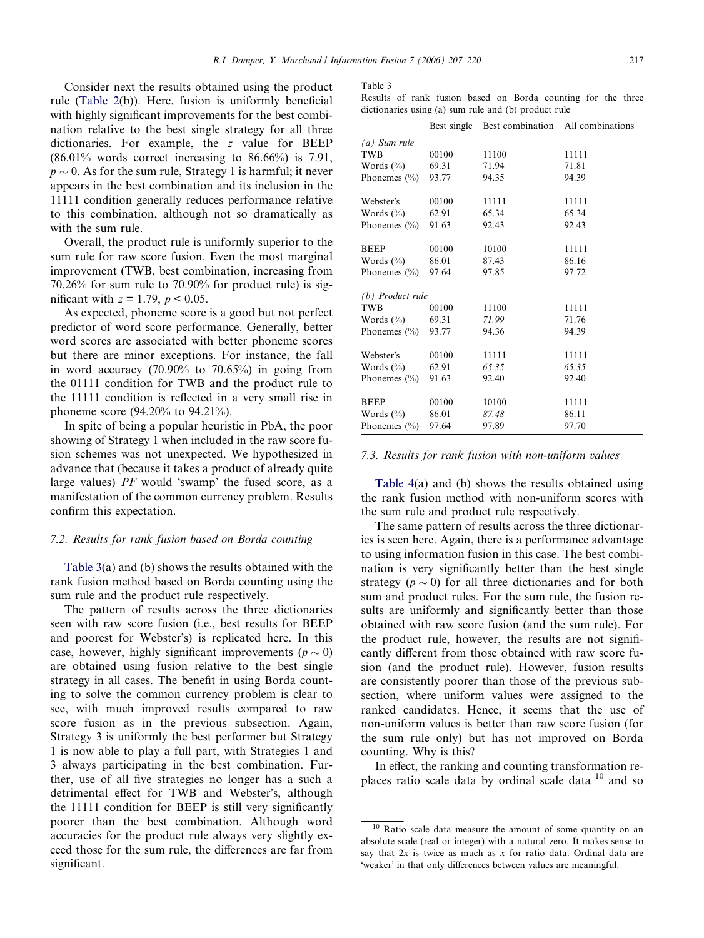<span id="page-10-0"></span>Consider next the results obtained using the product rule ([Table 2\(](#page-9-0)b)). Here, fusion is uniformly beneficial with highly significant improvements for the best combination relative to the best single strategy for all three dictionaries. For example, the z value for BEEP  $(86.01\%$  words correct increasing to  $86.66\%$  is 7.91,  $p \sim 0$ . As for the sum rule, Strategy 1 is harmful; it never appears in the best combination and its inclusion in the 11111 condition generally reduces performance relative to this combination, although not so dramatically as with the sum rule.

Overall, the product rule is uniformly superior to the sum rule for raw score fusion. Even the most marginal improvement (TWB, best combination, increasing from 70.26% for sum rule to 70.90% for product rule) is significant with  $z = 1.79$ ,  $p < 0.05$ .

As expected, phoneme score is a good but not perfect predictor of word score performance. Generally, better word scores are associated with better phoneme scores but there are minor exceptions. For instance, the fall in word accuracy (70.90% to 70.65%) in going from the 01111 condition for TWB and the product rule to the 11111 condition is reflected in a very small rise in phoneme score (94.20% to 94.21%).

In spite of being a popular heuristic in PbA, the poor showing of Strategy 1 when included in the raw score fusion schemes was not unexpected. We hypothesized in advance that (because it takes a product of already quite large values)  $PF$  would 'swamp' the fused score, as a manifestation of the common currency problem. Results confirm this expectation.

# 7.2. Results for rank fusion based on Borda counting

Table 3(a) and (b) shows the results obtained with the rank fusion method based on Borda counting using the sum rule and the product rule respectively.

The pattern of results across the three dictionaries seen with raw score fusion (i.e., best results for BEEP and poorest for Webster's) is replicated here. In this case, however, highly significant improvements ( $p \sim 0$ ) are obtained using fusion relative to the best single strategy in all cases. The benefit in using Borda counting to solve the common currency problem is clear to see, with much improved results compared to raw score fusion as in the previous subsection. Again, Strategy 3 is uniformly the best performer but Strategy 1 is now able to play a full part, with Strategies 1 and 3 always participating in the best combination. Further, use of all five strategies no longer has a such a detrimental effect for TWB and Webster's, although the 11111 condition for BEEP is still very significantly poorer than the best combination. Although word accuracies for the product rule always very slightly exceed those for the sum rule, the differences are far from significant.

| anie |  |
|------|--|
|------|--|

Results of rank fusion based on Borda counting for the three dictionaries using (a) sum rule and (b) product rule

|                    | Best single | Best combination | All combinations |
|--------------------|-------------|------------------|------------------|
| $(a)$ Sum rule     |             |                  |                  |
| TWB                | 00100       | 11100            | 11111            |
| Words $(\% )$      | 69.31       | 71.94            | 71.81            |
| Phonemes $(\% )$   | 93.77       | 94.35            | 94.39            |
| Webster's          | 00100       | 11111            | 11111            |
| Words $(\% )$      | 62.91       | 65.34            | 65.34            |
| Phonemes $(\% )$   | 91.63       | 92.43            | 92.43            |
| <b>BEEP</b>        | 00100       | 10100            | 11111            |
| Words $(\% )$      | 86.01       | 87.43            | 86.16            |
| Phonemes $(\% )$   | 97.64       | 97.85            | 97.72            |
| $(b)$ Product rule |             |                  |                  |
| TWB                | 00100       | 11100            | 11111            |
| Words $(\% )$      | 69.31       | 71.99            | 71.76            |
| Phonemes $(\% )$   | 93.77       | 94.36            | 94.39            |
| Webster's          | 00100       | 11111            | 11111            |
| Words $(\%)$       | 62.91       | 65.35            | 65.35            |
| Phonemes $(\% )$   | 91.63       | 92.40            | 92.40            |
| <b>BEEP</b>        | 00100       | 10100            | 11111            |
| Words $(\%)$       | 86.01       | 87.48            | 86.11            |
| Phonemes $(\% )$   | 97.64       | 97.89            | 97.70            |

# 7.3. Results for rank fusion with non-uniform values

[Table 4\(](#page-11-0)a) and (b) shows the results obtained using the rank fusion method with non-uniform scores with the sum rule and product rule respectively.

The same pattern of results across the three dictionaries is seen here. Again, there is a performance advantage to using information fusion in this case. The best combination is very significantly better than the best single strategy ( $p \sim 0$ ) for all three dictionaries and for both sum and product rules. For the sum rule, the fusion results are uniformly and significantly better than those obtained with raw score fusion (and the sum rule). For the product rule, however, the results are not significantly different from those obtained with raw score fusion (and the product rule). However, fusion results are consistently poorer than those of the previous subsection, where uniform values were assigned to the ranked candidates. Hence, it seems that the use of non-uniform values is better than raw score fusion (for the sum rule only) but has not improved on Borda counting. Why is this?

In effect, the ranking and counting transformation replaces ratio scale data by ordinal scale data  $10$  and so

<sup>&</sup>lt;sup>10</sup> Ratio scale data measure the amount of some quantity on an absolute scale (real or integer) with a natural zero. It makes sense to say that  $2x$  is twice as much as x for ratio data. Ordinal data are 'weaker' in that only differences between values are meaningful.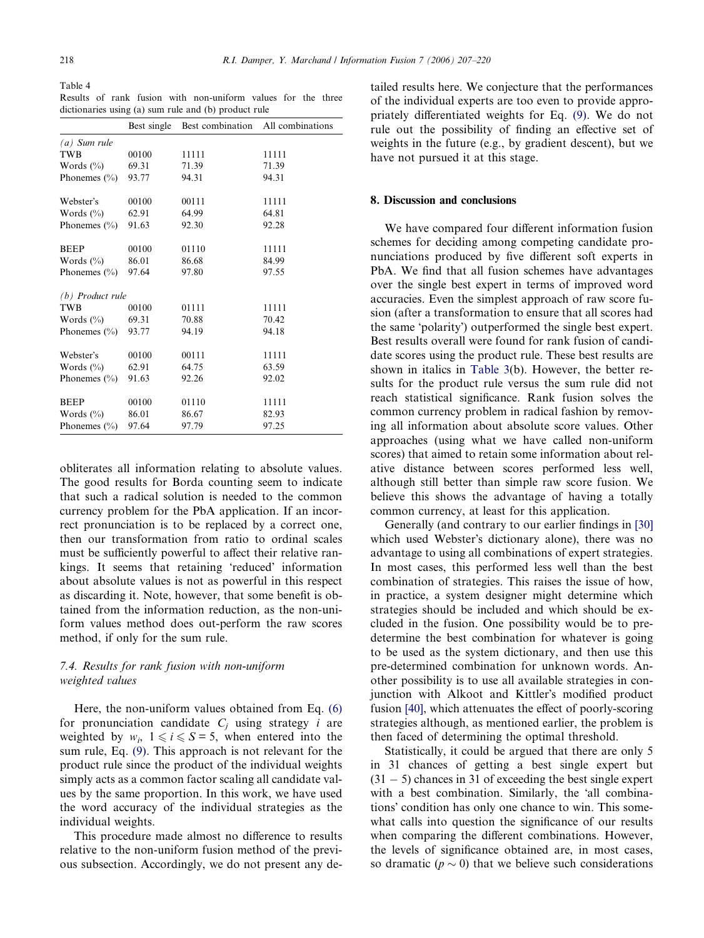<span id="page-11-0"></span>Table 4

|  |  | Results of rank fusion with non-uniform values for the three |  |  |
|--|--|--------------------------------------------------------------|--|--|
|  |  | dictionaries using (a) sum rule and (b) product rule         |  |  |

|                    | Best single |       | Best combination All combinations |
|--------------------|-------------|-------|-----------------------------------|
| $(a)$ Sum rule     |             |       |                                   |
| TWB                | 00100       | 11111 | 11111                             |
| Words $(\%)$       | 69.31       | 71.39 | 71.39                             |
| Phonemes $(\% )$   | 93.77       | 94.31 | 94.31                             |
| Webster's          | 00100       | 00111 | 11111                             |
| Words $(\% )$      | 62.91       | 64.99 | 64.81                             |
| Phonemes $(\% )$   | 91.63       | 92.30 | 92.28                             |
| <b>BEEP</b>        | 00100       | 01110 | 11111                             |
| Words $(\% )$      | 86.01       | 86.68 | 84.99                             |
| Phonemes $(\% )$   | 97.64       | 97.80 | 97.55                             |
| $(b)$ Product rule |             |       |                                   |
| <b>TWB</b>         | 00100       | 01111 | 11111                             |
| Words $(\% )$      | 69.31       | 70.88 | 70.42                             |
| Phonemes $(\% )$   | 93.77       | 94.19 | 94.18                             |
| Webster's          | 00100       | 00111 | 11111                             |
| Words $(\%$        | 62.91       | 64.75 | 63.59                             |
| Phonemes $(\% )$   | 91.63       | 92.26 | 92.02                             |
| <b>BEEP</b>        | 00100       | 01110 | 11111                             |
| Words $(\%$        | 86.01       | 86.67 | 82.93                             |
| Phonemes $(\% )$   | 97.64       | 97.79 | 97.25                             |

obliterates all information relating to absolute values. The good results for Borda counting seem to indicate that such a radical solution is needed to the common currency problem for the PbA application. If an incorrect pronunciation is to be replaced by a correct one, then our transformation from ratio to ordinal scales must be sufficiently powerful to affect their relative rankings. It seems that retaining 'reduced' information about absolute values is not as powerful in this respect as discarding it. Note, however, that some benefit is obtained from the information reduction, as the non-uniform values method does out-perform the raw scores method, if only for the sum rule.

# 7.4. Results for rank fusion with non-uniform weighted values

Here, the non-uniform values obtained from Eq. [\(6\)](#page-8-0) for pronunciation candidate  $C_i$  using strategy *i* are weighted by  $w_i$ ,  $1 \le i \le S = 5$ , when entered into the sum rule, Eq. [\(9\).](#page-8-0) This approach is not relevant for the product rule since the product of the individual weights simply acts as a common factor scaling all candidate values by the same proportion. In this work, we have used the word accuracy of the individual strategies as the individual weights.

This procedure made almost no difference to results relative to the non-uniform fusion method of the previous subsection. Accordingly, we do not present any detailed results here. We conjecture that the performances of the individual experts are too even to provide appropriately differentiated weights for Eq. [\(9\).](#page-8-0) We do not rule out the possibility of finding an effective set of weights in the future (e.g., by gradient descent), but we have not pursued it at this stage.

# 8. Discussion and conclusions

We have compared four different information fusion schemes for deciding among competing candidate pronunciations produced by five different soft experts in PbA. We find that all fusion schemes have advantages over the single best expert in terms of improved word accuracies. Even the simplest approach of raw score fusion (after a transformation to ensure that all scores had the same 'polarity') outperformed the single best expert. Best results overall were found for rank fusion of candidate scores using the product rule. These best results are shown in italics in [Table 3](#page-10-0)(b). However, the better results for the product rule versus the sum rule did not reach statistical significance. Rank fusion solves the common currency problem in radical fashion by removing all information about absolute score values. Other approaches (using what we have called non-uniform scores) that aimed to retain some information about relative distance between scores performed less well, although still better than simple raw score fusion. We believe this shows the advantage of having a totally common currency, at least for this application.

Generally (and contrary to our earlier findings in [\[30\]](#page-12-0) which used Webster's dictionary alone), there was no advantage to using all combinations of expert strategies. In most cases, this performed less well than the best combination of strategies. This raises the issue of how, in practice, a system designer might determine which strategies should be included and which should be excluded in the fusion. One possibility would be to predetermine the best combination for whatever is going to be used as the system dictionary, and then use this pre-determined combination for unknown words. Another possibility is to use all available strategies in conjunction with Alkoot and Kittler's modified product fusion [\[40\]](#page-13-0), which attenuates the effect of poorly-scoring strategies although, as mentioned earlier, the problem is then faced of determining the optimal threshold.

Statistically, it could be argued that there are only 5 in 31 chances of getting a best single expert but  $(31 - 5)$  chances in 31 of exceeding the best single expert with a best combination. Similarly, the 'all combinations' condition has only one chance to win. This somewhat calls into question the significance of our results when comparing the different combinations. However, the levels of significance obtained are, in most cases, so dramatic ( $p \sim 0$ ) that we believe such considerations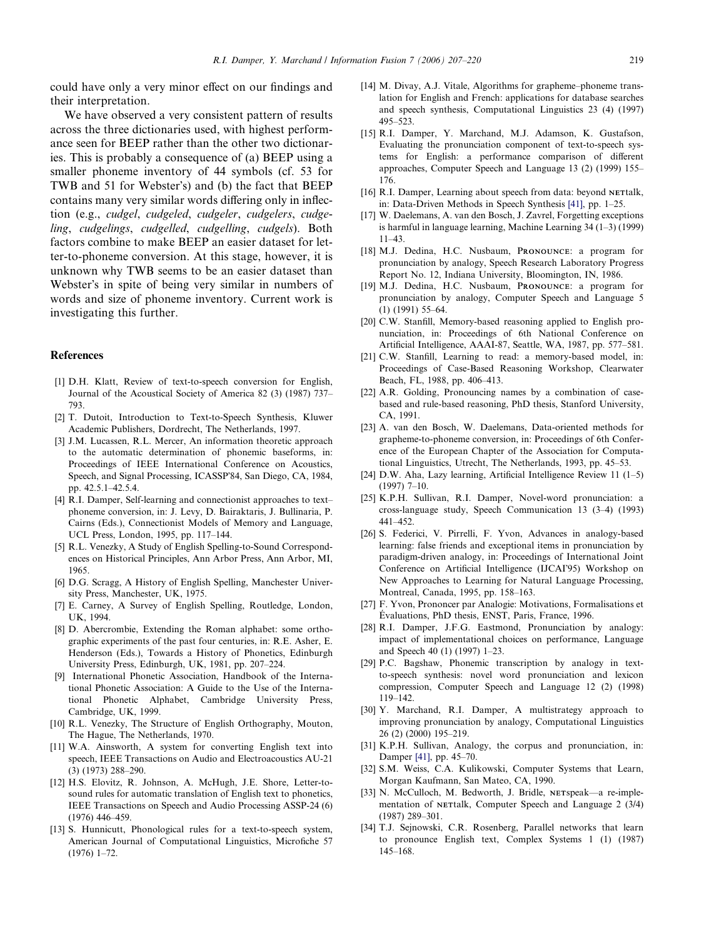<span id="page-12-0"></span>could have only a very minor effect on our findings and their interpretation.

We have observed a very consistent pattern of results across the three dictionaries used, with highest performance seen for BEEP rather than the other two dictionaries. This is probably a consequence of (a) BEEP using a smaller phoneme inventory of 44 symbols (cf. 53 for TWB and 51 for Webster's) and (b) the fact that BEEP contains many very similar words differing only in inflection (e.g., cudgel, cudgeled, cudgeler, cudgelers, cudgeling, cudgelings, cudgelled, cudgelling, cudgels). Both factors combine to make BEEP an easier dataset for letter-to-phoneme conversion. At this stage, however, it is unknown why TWB seems to be an easier dataset than Webster's in spite of being very similar in numbers of words and size of phoneme inventory. Current work is investigating this further.

#### References

- [1] D.H. Klatt, Review of text-to-speech conversion for English, Journal of the Acoustical Society of America 82 (3) (1987) 737– 793.
- [2] T. Dutoit, Introduction to Text-to-Speech Synthesis, Kluwer Academic Publishers, Dordrecht, The Netherlands, 1997.
- [3] J.M. Lucassen, R.L. Mercer, An information theoretic approach to the automatic determination of phonemic baseforms, in: Proceedings of IEEE International Conference on Acoustics, Speech, and Signal Processing, ICASSP84, San Diego, CA, 1984, pp. 42.5.1–42.5.4.
- [4] R.I. Damper, Self-learning and connectionist approaches to text– phoneme conversion, in: J. Levy, D. Bairaktaris, J. Bullinaria, P. Cairns (Eds.), Connectionist Models of Memory and Language, UCL Press, London, 1995, pp. 117–144.
- [5] R.L. Venezky, A Study of English Spelling-to-Sound Correspondences on Historical Principles, Ann Arbor Press, Ann Arbor, MI, 1965.
- [6] D.G. Scragg, A History of English Spelling, Manchester University Press, Manchester, UK, 1975.
- [7] E. Carney, A Survey of English Spelling, Routledge, London, UK, 1994.
- [8] D. Abercrombie, Extending the Roman alphabet: some orthographic experiments of the past four centuries, in: R.E. Asher, E. Henderson (Eds.), Towards a History of Phonetics, Edinburgh University Press, Edinburgh, UK, 1981, pp. 207–224.
- [9] International Phonetic Association, Handbook of the International Phonetic Association: A Guide to the Use of the International Phonetic Alphabet, Cambridge University Press, Cambridge, UK, 1999.
- [10] R.L. Venezky, The Structure of English Orthography, Mouton, The Hague, The Netherlands, 1970.
- [11] W.A. Ainsworth, A system for converting English text into speech, IEEE Transactions on Audio and Electroacoustics AU-21 (3) (1973) 288–290.
- [12] H.S. Elovitz, R. Johnson, A. McHugh, J.E. Shore, Letter-tosound rules for automatic translation of English text to phonetics, IEEE Transactions on Speech and Audio Processing ASSP-24 (6) (1976) 446–459.
- [13] S. Hunnicutt, Phonological rules for a text-to-speech system, American Journal of Computational Linguistics, Microfiche 57 (1976) 1–72.
- [14] M. Divay, A.J. Vitale, Algorithms for grapheme–phoneme translation for English and French: applications for database searches and speech synthesis, Computational Linguistics 23 (4) (1997) 495–523.
- [15] R.I. Damper, Y. Marchand, M.J. Adamson, K. Gustafson, Evaluating the pronunciation component of text-to-speech systems for English: a performance comparison of different approaches, Computer Speech and Language 13 (2) (1999) 155– 176.
- [16] R.I. Damper, Learning about speech from data: beyond NETtalk, in: Data-Driven Methods in Speech Synthesis [\[41\]](#page-13-0), pp. 1–25.
- [17] W. Daelemans, A. van den Bosch, J. Zavrel, Forgetting exceptions is harmful in language learning, Machine Learning 34 (1–3) (1999) 11–43.
- [18] M.J. Dedina, H.C. Nusbaum, PRONOUNCE: a program for pronunciation by analogy, Speech Research Laboratory Progress Report No. 12, Indiana University, Bloomington, IN, 1986.
- [19] M.J. Dedina, H.C. Nusbaum, PRONOUNCE: a program for pronunciation by analogy, Computer Speech and Language 5 (1) (1991) 55–64.
- [20] C.W. Stanfill, Memory-based reasoning applied to English pronunciation, in: Proceedings of 6th National Conference on Artificial Intelligence, AAAI-87, Seattle, WA, 1987, pp. 577–581.
- [21] C.W. Stanfill, Learning to read: a memory-based model, in: Proceedings of Case-Based Reasoning Workshop, Clearwater Beach, FL, 1988, pp. 406–413.
- [22] A.R. Golding, Pronouncing names by a combination of casebased and rule-based reasoning, PhD thesis, Stanford University, CA, 1991.
- [23] A. van den Bosch, W. Daelemans, Data-oriented methods for grapheme-to-phoneme conversion, in: Proceedings of 6th Conference of the European Chapter of the Association for Computational Linguistics, Utrecht, The Netherlands, 1993, pp. 45–53.
- [24] D.W. Aha, Lazy learning, Artificial Intelligence Review 11 (1–5) (1997) 7–10.
- [25] K.P.H. Sullivan, R.I. Damper, Novel-word pronunciation: a cross-language study, Speech Communication 13 (3–4) (1993) 441–452.
- [26] S. Federici, V. Pirrelli, F. Yvon, Advances in analogy-based learning: false friends and exceptional items in pronunciation by paradigm-driven analogy, in: Proceedings of International Joint Conference on Artificial Intelligence (IJCAI95) Workshop on New Approaches to Learning for Natural Language Processing, Montreal, Canada, 1995, pp. 158–163.
- [27] F. Yvon, Prononcer par Analogie: Motivations, Formalisations et Évaluations, PhD thesis, ENST, Paris, France, 1996.
- [28] R.I. Damper, J.F.G. Eastmond, Pronunciation by analogy: impact of implementational choices on performance, Language and Speech 40 (1) (1997) 1–23.
- [29] P.C. Bagshaw, Phonemic transcription by analogy in textto-speech synthesis: novel word pronunciation and lexicon compression, Computer Speech and Language 12 (2) (1998) 119–142.
- [30] Y. Marchand, R.I. Damper, A multistrategy approach to improving pronunciation by analogy, Computational Linguistics 26 (2) (2000) 195–219.
- [31] K.P.H. Sullivan, Analogy, the corpus and pronunciation, in: Damper [\[41\],](#page-13-0) pp. 45–70.
- [32] S.M. Weiss, C.A. Kulikowski, Computer Systems that Learn, Morgan Kaufmann, San Mateo, CA, 1990.
- [33] N. McCulloch, M. Bedworth, J. Bridle, NETspeak—a re-implementation of NETtalk, Computer Speech and Language 2 (3/4) (1987) 289–301.
- [34] T.J. Sejnowski, C.R. Rosenberg, Parallel networks that learn to pronounce English text, Complex Systems 1 (1) (1987) 145–168.